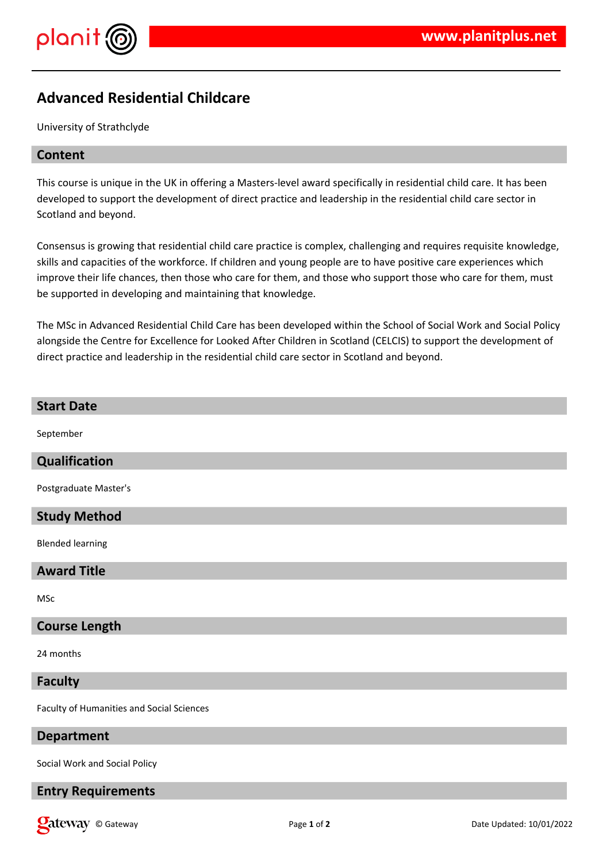



# **Advanced Residential Childcare**

University of Strathclyde

### **Content**

This course is unique in the UK in offering a Masters-level award specifically in residential child care. It has been developed to support the development of direct practice and leadership in the residential child care sector in Scotland and beyond.

Consensus is growing that residential child care practice is complex, challenging and requires requisite knowledge, skills and capacities of the workforce. If children and young people are to have positive care experiences which improve their life chances, then those who care for them, and those who support those who care for them, must be supported in developing and maintaining that knowledge.

The MSc in Advanced Residential Child Care has been developed within the School of Social Work and Social Policy alongside the Centre for Excellence for Looked After Children in Scotland (CELCIS) to support the development of direct practice and leadership in the residential child care sector in Scotland and beyond.

| <b>Start Date</b>                         |
|-------------------------------------------|
| September                                 |
| <b>Qualification</b>                      |
| Postgraduate Master's                     |
| <b>Study Method</b>                       |
| <b>Blended learning</b>                   |
| <b>Award Title</b>                        |
| MSc                                       |
| <b>Course Length</b>                      |
| 24 months                                 |
| <b>Faculty</b>                            |
| Faculty of Humanities and Social Sciences |
|                                           |

## **Department**

Social Work and Social Policy

## **Entry Requirements**

**Call EXECUTE:** Page 1 of 2 Date Updated: 10/01/2022 Date Updated: 10/01/2022